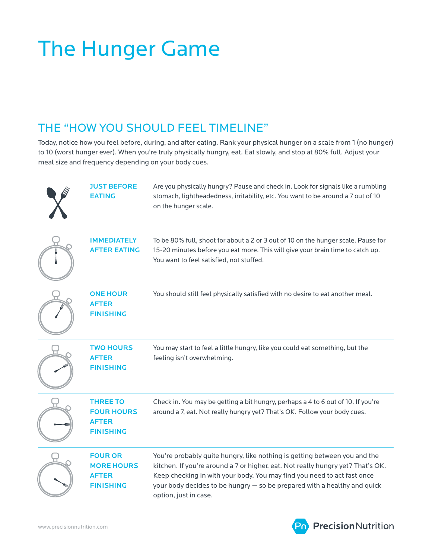# The Hunger Game

### THE "HOW YOU SHOULD FEEL TIMELINE"

Today, notice how you feel before, during, and after eating. Rank your physical hunger on a scale from 1 (no hunger) to 10 (worst hunger ever). When you're truly physically hungry, eat. Eat slowly, and stop at 80% full. Adjust your meal size and frequency depending on your body cues.

| <b>JUST BEFORE</b><br><b>EATING</b>                                      | Are you physically hungry? Pause and check in. Look for signals like a rumbling<br>stomach, lightheadedness, irritability, etc. You want to be around a 7 out of 10<br>on the hunger scale.                                                                                                                                                  |
|--------------------------------------------------------------------------|----------------------------------------------------------------------------------------------------------------------------------------------------------------------------------------------------------------------------------------------------------------------------------------------------------------------------------------------|
| <b>IMMEDIATELY</b><br><b>AFTER EATING</b>                                | To be 80% full, shoot for about a 2 or 3 out of 10 on the hunger scale. Pause for<br>15-20 minutes before you eat more. This will give your brain time to catch up.<br>You want to feel satisfied, not stuffed.                                                                                                                              |
| <b>ONE HOUR</b><br><b>AFTER</b><br><b>FINISHING</b>                      | You should still feel physically satisfied with no desire to eat another meal.                                                                                                                                                                                                                                                               |
| <b>TWO HOURS</b><br><b>AFTER</b><br><b>FINISHING</b>                     | You may start to feel a little hungry, like you could eat something, but the<br>feeling isn't overwhelming.                                                                                                                                                                                                                                  |
| <b>THREE TO</b><br><b>FOUR HOURS</b><br><b>AFTER</b><br><b>FINISHING</b> | Check in. You may be getting a bit hungry, perhaps a 4 to 6 out of 10. If you're<br>around a 7, eat. Not really hungry yet? That's OK. Follow your body cues.                                                                                                                                                                                |
| <b>FOUR OR</b><br><b>MORE HOURS</b><br><b>AFTER</b><br><b>FINISHING</b>  | You're probably quite hungry, like nothing is getting between you and the<br>kitchen. If you're around a 7 or higher, eat. Not really hungry yet? That's OK.<br>Keep checking in with your body. You may find you need to act fast once<br>your body decides to be hungry - so be prepared with a healthy and quick<br>option, just in case. |

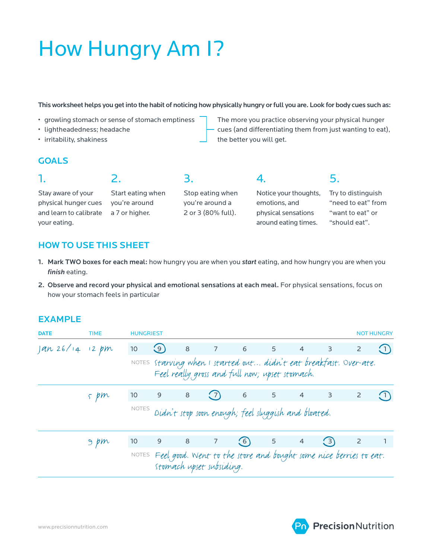## How Hungry Am I?

This worksheet helps you get into the habit of noticing how physically hungry or full you are. Look for body cues such as:

- growling stomach or sense of stomach emptiness
- lightheadedness; headache
- irritability, shakiness

physical hunger cues and learn to calibrate

The more you practice observing your physical hunger cues (and differentiating them from just wanting to eat), the better you will get.

#### **GOALS**

1.

Stay aware of your

your eating.

Start eating when

2.

you're around a 7 or higher.

Stop eating when you're around a 2 or 3 (80% full).

3.

Notice your thoughts, emotions, and physical sensations around eating times.

4.

Try to distinguish "need to eat" from "want to eat" or "should eat".

5.

#### HOW TO USE THIS SHEET

- 1. Mark TWO boxes for each meal: how hungry you are when you *start* eating, and how hungry you are when you *finish* eating.
- 2. Observe and record your physical and emotional sensations at each meal. For physical sensations, focus on how your stomach feels in particular

#### EXAMPLE

| <b>DATE</b>    | <b>TIME</b> | <b>HUNGRIEST</b>                                          |                                                                                                                     |   |                          |                                                                         |                |                                                                |               |                | <b>NOT HUNGRY</b> |  |
|----------------|-------------|-----------------------------------------------------------|---------------------------------------------------------------------------------------------------------------------|---|--------------------------|-------------------------------------------------------------------------|----------------|----------------------------------------------------------------|---------------|----------------|-------------------|--|
| an 26/14 12 pm |             | 10                                                        | (9)                                                                                                                 | 8 |                          | 7 6 5 4                                                                 |                |                                                                | $\sim$ 3      | $\overline{2}$ |                   |  |
|                |             |                                                           | NOTES Starving when I started out didn't eat breakfast. Over-ate.<br>Feel really gross and full now; upset stomach. |   |                          |                                                                         |                |                                                                |               |                |                   |  |
|                | 5.pm        | 10                                                        | 9                                                                                                                   | 8 | $\binom{7}{ }$           |                                                                         |                | $\begin{array}{ccccccccc}\n6 & & & 5 & & 4 & & 3\n\end{array}$ |               | $\overline{2}$ |                   |  |
|                |             | NOTES Didn't stop soon enough; feel sluggish and bloated. |                                                                                                                     |   |                          |                                                                         |                |                                                                |               |                |                   |  |
|                | $\beta$ pm  | 10 <sup>°</sup>                                           | 9                                                                                                                   | 8 | $\overline{7}$           | (6)                                                                     | 5 <sup>5</sup> | $\overline{4}$                                                 | $\binom{3}{}$ | $\overline{2}$ |                   |  |
|                |             |                                                           |                                                                                                                     |   | stomach upset subsiding. | NOTES Feel good. Went to the store and bought some nice berries to eat. |                |                                                                |               |                |                   |  |